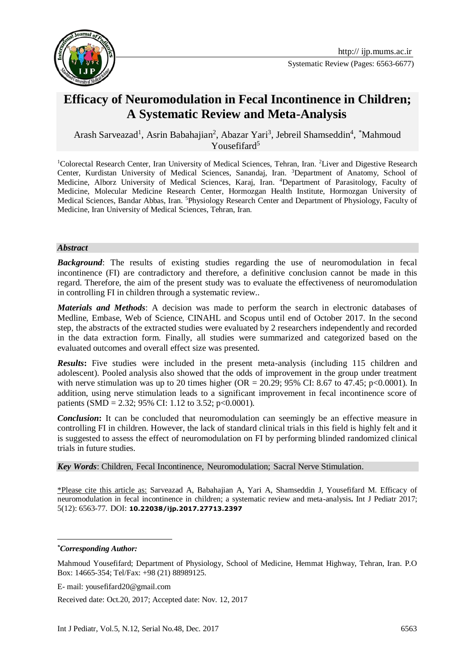

Systematic Review (Pages: 6563-6677)

# **Efficacy of Neuromodulation in Fecal Incontinence in Children; A Systematic Review and Meta-Analysis**

Arash Sarveazad<sup>1</sup>, Asrin Babahajian<sup>2</sup>, Abazar Yari<sup>3</sup>, Jebreil Shamseddin<sup>4</sup>, \*Mahmoud Yousefifard<sup>5</sup>**<sup>1</sup>**

<sup>1</sup>Colorectal Research Center, Iran University of Medical Sciences, Tehran, Iran. <sup>2</sup>Liver and Digestive Research Center, Kurdistan University of Medical Sciences, Sanandaj, Iran. <sup>3</sup>Department of Anatomy, School of Medicine, Alborz University of Medical Sciences, Karaj, Iran. <sup>4</sup>Department of Parasitology, Faculty of Medicine, Molecular Medicine Research Center, Hormozgan Health Institute, Hormozgan University of Medical Sciences, Bandar Abbas, Iran. <sup>5</sup>Physiology Research Center and Department of Physiology, Faculty of Medicine, Iran University of Medical Sciences, Tehran, Iran.

#### *Abstract*

**Background:** The results of existing studies regarding the use of neuromodulation in fecal incontinence (FI) are contradictory and therefore, a definitive conclusion cannot be made in this regard. Therefore, the aim of the present study was to evaluate the effectiveness of neuromodulation in controlling FI in children through a systematic review..

*Materials and Methods*: A decision was made to perform the search in electronic databases of Medline, Embase, Web of Science, CINAHL and Scopus until end of October 2017. In the second step, the abstracts of the extracted studies were evaluated by 2 researchers independently and recorded in the data extraction form. Finally, all studies were summarized and categorized based on the evaluated outcomes and overall effect size was presented.

**Results:** Five studies were included in the present meta-analysis (including 115 children and adolescent). Pooled analysis also showed that the odds of improvement in the group under treatment with nerve stimulation was up to 20 times higher (OR = 20.29; 95% CI: 8.67 to 47.45; p<0.0001). In addition, using nerve stimulation leads to a significant improvement in fecal incontinence score of patients (SMD = 2.32; 95% CI: 1.12 to 3.52; p<0.0001).

*Conclusion***:** It can be concluded that neuromodulation can seemingly be an effective measure in controlling FI in children. However, the lack of standard clinical trials in this field is highly felt and it is suggested to assess the effect of neuromodulation on FI by performing blinded randomized clinical trials in future studies.

*Key Words*: Children, Fecal Incontinence, Neuromodulation; Sacral Nerve Stimulation.

\*Please cite this article as: Sarveazad A, Babahajian A, Yari A, Shamseddin J, Yousefifard M. Efficacy of neuromodulation in fecal incontinence in children; a systematic review and meta-analysis**.** Int J Pediatr 2017; 5(12): 6563-77. DOI: **10.22038/ijp.2017.27713.2397**

1

*<sup>\*</sup>Corresponding Author:*

Mahmoud Yousefifard; Department of Physiology, School of Medicine, Hemmat Highway, Tehran, Iran. P.O Box: 14665-354; Tel/Fax: +98 (21) 88989125.

E- mail: yousefifard20@gmail.com

Received date: Oct.20, 2017; Accepted date: Nov. 12, 2017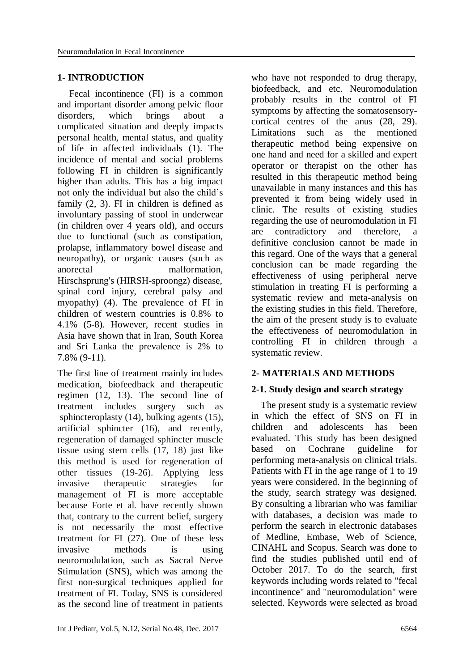#### **1- INTRODUCTION**

 Fecal incontinence (FI) is a common and important disorder among pelvic floor disorders, which brings about a complicated situation and deeply impacts personal health, mental status, and quality of life in affected individuals (1). The incidence of mental and social problems following FI in children is significantly higher than adults. This has a big impact not only the individual but also the child's family (2, 3). FI in children is defined as involuntary passing of stool in underwear (in children over 4 years old), and occurs due to functional (such as constipation, prolapse, inflammatory bowel disease and neuropathy), or organic causes (such as anorectal malformation, Hirschsprung's (HIRSH-sproongz) disease, spinal cord injury, cerebral palsy and myopathy) (4). The prevalence of FI in children of western countries is 0.8% to 4.1% (5-8). However, recent studies in Asia have shown that in Iran, South Korea and Sri Lanka the prevalence is 2% to 7.8% (9-11).

The first line of treatment mainly includes medication, biofeedback and therapeutic regimen (12, 13). The second line of treatment includes surgery such as sphincteroplasty (14), bulking agents (15), artificial sphincter (16), and recently, regeneration of damaged sphincter muscle tissue using stem cells (17, 18) just like this method is used for regeneration of other tissues (19-26). Applying less invasive therapeutic strategies for management of FI is more acceptable because Forte et al. have recently shown that, contrary to the current belief, surgery is not necessarily the most effective treatment for FI (27). One of these less invasive methods is using neuromodulation, such as Sacral Nerve Stimulation (SNS), which was among the first non-surgical techniques applied for treatment of FI. Today, SNS is considered as the second line of treatment in patients

who have not responded to drug therapy, biofeedback, and etc. Neuromodulation probably results in the control of FI symptoms by affecting the somatosensorycortical centres of the anus (28, 29). Limitations such as the mentioned therapeutic method being expensive on one hand and need for a skilled and expert operator or therapist on the other has resulted in this therapeutic method being unavailable in many instances and this has prevented it from being widely used in clinic. The results of existing studies regarding the use of neuromodulation in FI are contradictory and therefore, a definitive conclusion cannot be made in this regard. One of the ways that a general conclusion can be made regarding the effectiveness of using peripheral nerve stimulation in treating FI is performing a systematic review and meta-analysis on the existing studies in this field. Therefore, the aim of the present study is to evaluate the effectiveness of neuromodulation in controlling FI in children through a systematic review.

### **2- MATERIALS AND METHODS**

#### **2-1. Study design and search strategy**

 The present study is a systematic review in which the effect of SNS on FI in children and adolescents has been evaluated. This study has been designed based on Cochrane guideline for performing meta-analysis on clinical trials. Patients with FI in the age range of 1 to 19 years were considered. In the beginning of the study, search strategy was designed. By consulting a librarian who was familiar with databases, a decision was made to perform the search in electronic databases of Medline, Embase, Web of Science, CINAHL and Scopus. Search was done to find the studies published until end of October 2017. To do the search, first keywords including words related to "fecal incontinence" and "neuromodulation" were selected. Keywords were selected as broad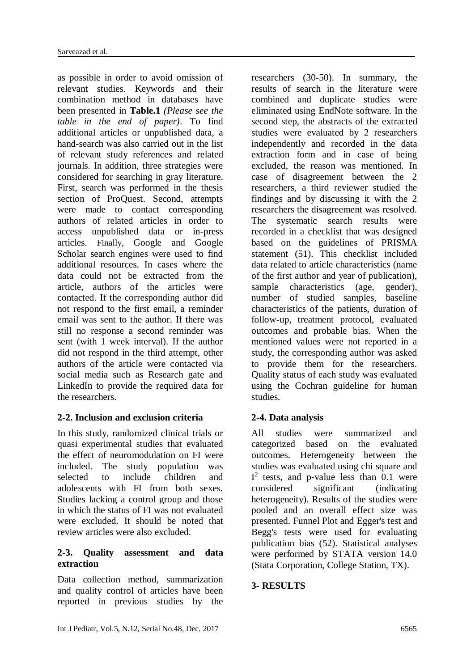as possible in order to avoid omission of relevant studies. Keywords and their combination method in databases have been presented in **Table.1** *(Please see the table in the end of paper)*. To find additional articles or unpublished data, a hand-search was also carried out in the list of relevant study references and related journals. In addition, three strategies were considered for searching in gray literature. First, search was performed in the thesis section of ProQuest. Second, attempts were made to contact corresponding authors of related articles in order to access unpublished data or in-press articles. Finally, Google and Google Scholar search engines were used to find additional resources. In cases where the data could not be extracted from the article, authors of the articles were contacted. If the corresponding author did not respond to the first email, a reminder email was sent to the author. If there was still no response a second reminder was sent (with 1 week interval). If the author did not respond in the third attempt, other authors of the article were contacted via social media such as Research gate and LinkedIn to provide the required data for the researchers.

## **2-2. Inclusion and exclusion criteria**

In this study, randomized clinical trials or quasi experimental studies that evaluated the effect of neuromodulation on FI were included. The study population was selected to include children and adolescents with FI from both sexes. Studies lacking a control group and those in which the status of FI was not evaluated were excluded. It should be noted that review articles were also excluded.

#### **2-3. Quality assessment and data extraction**

Data collection method, summarization and quality control of articles have been reported in previous studies by the

researchers (30-50). In summary, the results of search in the literature were combined and duplicate studies were eliminated using EndNote software. In the second step, the abstracts of the extracted studies were evaluated by 2 researchers independently and recorded in the data extraction form and in case of being excluded, the reason was mentioned. In case of disagreement between the 2 researchers, a third reviewer studied the findings and by discussing it with the 2 researchers the disagreement was resolved. The systematic search results were recorded in a checklist that was designed based on the guidelines of PRISMA statement (51). This checklist included data related to article characteristics (name of the first author and year of publication), sample characteristics (age, gender), number of studied samples, baseline characteristics of the patients, duration of follow-up, treatment protocol, evaluated outcomes and probable bias. When the mentioned values were not reported in a study, the corresponding author was asked to provide them for the researchers. Quality status of each study was evaluated using the Cochran guideline for human studies.

### **2-4. Data analysis**

All studies were summarized and categorized based on the evaluated outcomes. Heterogeneity between the studies was evaluated using chi square and  $I<sup>2</sup>$  tests, and p-value less than 0.1 were considered significant (indicating heterogeneity). Results of the studies were pooled and an overall effect size was presented. Funnel Plot and Egger's test and Begg's tests were used for evaluating publication bias (52). Statistical analyses were performed by STATA version 14.0 (Stata Corporation, College Station, TX).

### **3- RESULTS**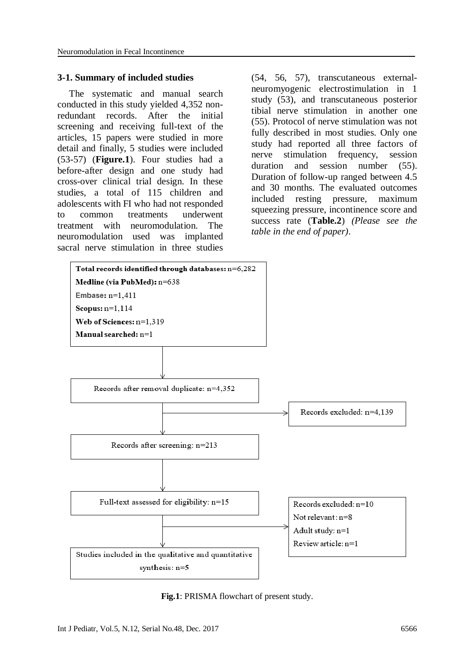#### **3-1. Summary of included studies**

 The systematic and manual search conducted in this study yielded 4,352 nonredundant records. After the initial screening and receiving full-text of the articles, 15 papers were studied in more detail and finally, 5 studies were included (53-57) (**Figure.1**). Four studies had a before-after design and one study had cross-over clinical trial design. In these studies, a total of 115 children and adolescents with FI who had not responded to common treatments underwent treatment with neuromodulation. The neuromodulation used was implanted sacral nerve stimulation in three studies

(54, [56,](#page-8-0) [57\)](#page-9-0), transcutaneous externalneuromyogenic electrostimulation in 1 study (53), and transcutaneous posterior tibial nerve stimulation in another one [\(55\)](#page-8-1). Protocol of nerve stimulation was not fully described in most studies. Only one study had reported all three factors of nerve stimulation frequency, session duration and session number [\(55\)](#page-8-1). Duration of follow-up ranged between 4.5 and 30 months. The evaluated outcomes included resting pressure, maximum squeezing pressure, incontinence score and success rate (**Table.2**) *(Please see the table in the end of paper)*.



**Fig.1**: PRISMA flowchart of present study.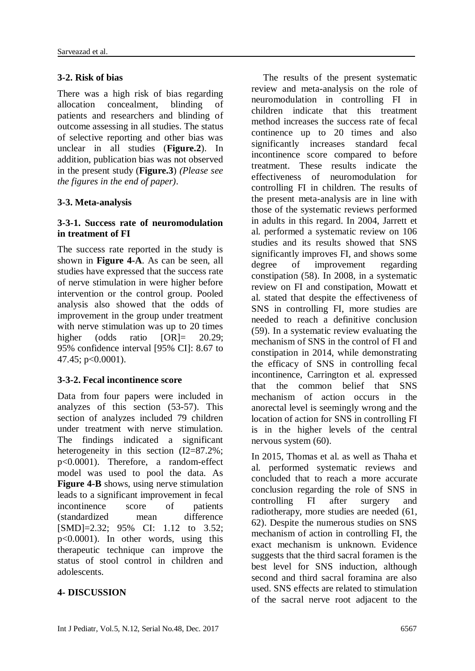#### **3-2. Risk of bias**

There was a high risk of bias regarding allocation concealment, blinding of patients and researchers and blinding of outcome assessing in all studies. The status of selective reporting and other bias was unclear in all studies (**Figure.2**). In addition, publication bias was not observed in the present study (**Figure.3**) *(Please see the figures in the end of paper)*.

#### **3-3. Meta-analysis**

#### **3-3-1. Success rate of neuromodulation in treatment of FI**

The success rate reported in the study is shown in **Figure 4-A**. As can be seen, all studies have expressed that the success rate of nerve stimulation in were higher before intervention or the control group. Pooled analysis also showed that the odds of improvement in the group under treatment with nerve stimulation was up to 20 times higher (odds ratio [OR]= 20.29; 95% confidence interval [95% CI]: 8.67 to 47.45; p<0.0001).

#### **3-3-2. Fecal incontinence score**

Data from four papers were included in analyzes of this section (53-57). This section of analyzes included 79 children under treatment with nerve stimulation. The findings indicated a significant heterogeneity in this section  $(I2=87.2\%$ ; p<0.0001). Therefore, a random-effect model was used to pool the data. As **Figure 4-B** shows, using nerve stimulation leads to a significant improvement in fecal incontinence score of patients (standardized mean difference [SMD]=2.32; 95% CI: 1.12 to 3.52; p<0.0001). In other words, using this therapeutic technique can improve the status of stool control in children and adolescents.

### **4- DISCUSSION**

 The results of the present systematic review and meta-analysis on the role of neuromodulation in controlling FI in children indicate that this treatment method increases the success rate of fecal continence up to 20 times and also significantly increases standard fecal incontinence score compared to before treatment. These results indicate the effectiveness of neuromodulation for controlling FI in children. The results of the present meta-analysis are in line with those of the systematic reviews performed in adults in this regard. In 2004, Jarrett et al. performed a systematic review on 106 studies and its results showed that SNS significantly improves FI, and shows some degree of improvement regarding constipation [\(58\)](#page-9-1). In 2008, in a systematic review on FI and constipation, Mowatt et al. stated that despite the effectiveness of SNS in controlling FI, more studies are needed to reach a definitive conclusion [\(59\)](#page-9-2). In a systematic review evaluating the mechanism of SNS in the control of FI and constipation in 2014, while demonstrating the efficacy of SNS in controlling fecal incontinence, Carrington et al. expressed that the common belief that SNS mechanism of action occurs in the anorectal level is seemingly wrong and the location of action for SNS in controlling FI is in the higher levels of the central nervous system [\(60\)](#page-9-3).

In 2015, Thomas et al. as well as Thaha et al. performed systematic reviews and concluded that to reach a more accurate conclusion regarding the role of SNS in controlling FI after surgery and radiotherapy, more studies are needed [\(61,](#page-9-4) [62\)](#page-9-5). Despite the numerous studies on SNS mechanism of action in controlling FI, the exact mechanism is unknown. Evidence suggests that the third sacral foramen is the best level for SNS induction, although second and third sacral foramina are also used. SNS effects are related to stimulation of the sacral nerve root adjacent to the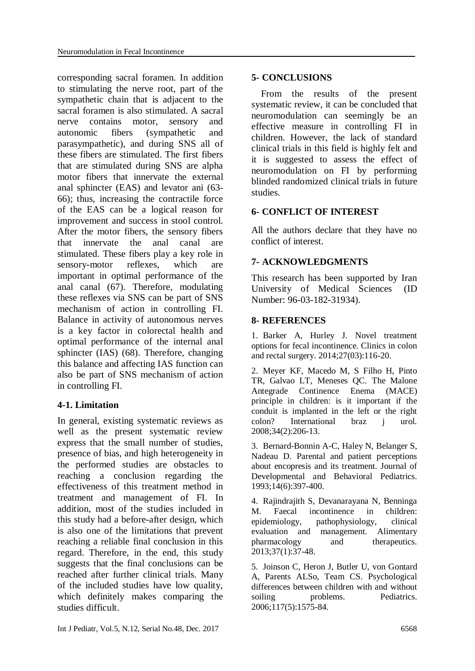corresponding sacral foramen. In addition to stimulating the nerve root, part of the sympathetic chain that is adjacent to the sacral foramen is also stimulated. A sacral nerve contains motor, sensory and autonomic fibers (sympathetic and parasympathetic), and during SNS all of these fibers are stimulated. The first fibers that are stimulated during SNS are alpha motor fibers that innervate the external anal sphincter (EAS) and levator ani [\(63-](#page-9-6) [66\)](#page-9-6); thus, increasing the contractile force of the EAS can be a logical reason for improvement and success in stool control. After the motor fibers, the sensory fibers that innervate the anal canal are stimulated. These fibers play a key role in sensory-motor reflexes, which are important in optimal performance of the anal canal [\(67\)](#page-9-7). Therefore, modulating these reflexes via SNS can be part of SNS mechanism of action in controlling FI. Balance in activity of autonomous nerves is a key factor in colorectal health and optimal performance of the internal anal sphincter (IAS) [\(68\)](#page-9-8). Therefore, changing this balance and affecting IAS function can also be part of SNS mechanism of action in controlling FI.

### **4-1. Limitation**

In general, existing systematic reviews as well as the present systematic review express that the small number of studies, presence of bias, and high heterogeneity in the performed studies are obstacles to reaching a conclusion regarding the effectiveness of this treatment method in treatment and management of FI. In addition, most of the studies included in this study had a before-after design, which is also one of the limitations that prevent reaching a reliable final conclusion in this regard. Therefore, in the end, this study suggests that the final conclusions can be reached after further clinical trials. Many of the included studies have low quality, which definitely makes comparing the studies difficult.

#### **5- CONCLUSIONS**

 From the results of the present systematic review, it can be concluded that neuromodulation can seemingly be an effective measure in controlling FI in children. However, the lack of standard clinical trials in this field is highly felt and it is suggested to assess the effect of neuromodulation on FI by performing blinded randomized clinical trials in future studies.

## **6- CONFLICT OF INTEREST**

All the authors declare that they have no conflict of interest.

### **7- ACKNOWLEDGMENTS**

This research has been supported by Iran University of Medical Sciences (ID Number: 96-03-182-31934).

## **8- REFERENCES**

1. Barker A, Hurley J. Novel treatment options for fecal incontinence. Clinics in colon and rectal surgery. 2014;27(03):116-20.

2. Meyer KF, Macedo M, S Filho H, Pinto TR, Galvao LT, Meneses QC. The Malone Antegrade Continence Enema (MACE) principle in children: is it important if the conduit is implanted in the left or the right colon? International braz j urol. 2008;34(2):206-13.

3. Bernard-Bonnin A-C, Haley N, Belanger S, Nadeau D. Parental and patient perceptions about encopresis and its treatment. Journal of Developmental and Behavioral Pediatrics. 1993;14(6):397-400.

4. Rajindrajith S, Devanarayana N, Benninga M. Faecal incontinence in children: epidemiology, pathophysiology, clinical evaluation and management. Alimentary pharmacology and therapeutics. 2013;37(1):37-48.

5. Joinson C, Heron J, Butler U, von Gontard A, Parents ALSo, Team CS. Psychological differences between children with and without soiling problems. Pediatrics. 2006;117(5):1575-84.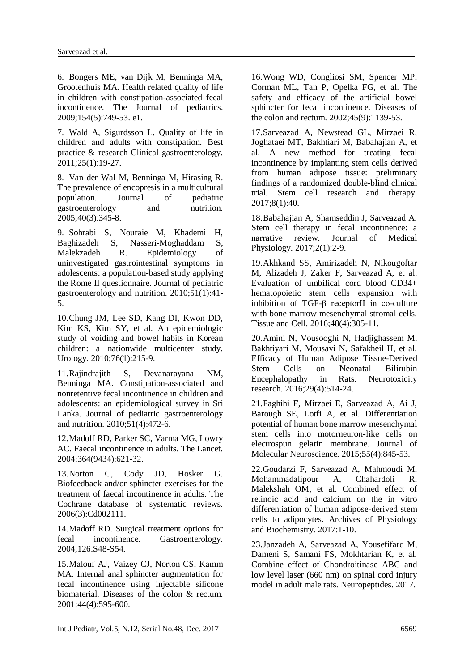6. Bongers ME, van Dijk M, Benninga MA, Grootenhuis MA. Health related quality of life in children with constipation-associated fecal incontinence. The Journal of pediatrics. 2009;154(5):749-53. e1.

7. Wald A, Sigurdsson L. Quality of life in children and adults with constipation. Best practice & research Clinical gastroenterology. 2011;25(1):19-27.

8. Van der Wal M, Benninga M, Hirasing R. The prevalence of encopresis in a multicultural population. Journal of pediatric gastroenterology and nutrition. 2005;40(3):345-8.

9. Sohrabi S, Nouraie M, Khademi H, Baghizadeh S, Nasseri-Moghaddam S, Malekzadeh R. Epidemiology of uninvestigated gastrointestinal symptoms in adolescents: a population-based study applying the Rome II questionnaire. Journal of pediatric gastroenterology and nutrition. 2010;51(1):41- 5.

10.Chung JM, Lee SD, Kang DI, Kwon DD, Kim KS, Kim SY, et al. An epidemiologic study of voiding and bowel habits in Korean children: a nationwide multicenter study. Urology. 2010;76(1):215-9.

11.Rajindrajith S, Devanarayana NM, Benninga MA. Constipation-associated and nonretentive fecal incontinence in children and adolescents: an epidemiological survey in Sri Lanka. Journal of pediatric gastroenterology and nutrition. 2010;51(4):472-6.

12.Madoff RD, Parker SC, Varma MG, Lowry AC. Faecal incontinence in adults. The Lancet. 2004;364(9434):621-32.

13.Norton C, Cody JD, Hosker G. Biofeedback and/or sphincter exercises for the treatment of faecal incontinence in adults. The Cochrane database of systematic reviews. 2006(3):Cd002111.

14.Madoff RD. Surgical treatment options for fecal incontinence. Gastroenterology. 2004;126:S48-S54.

15.Malouf AJ, Vaizey CJ, Norton CS, Kamm MA. Internal anal sphincter augmentation for fecal incontinence using injectable silicone biomaterial. Diseases of the colon & rectum. 2001;44(4):595-600.

16.Wong WD, Congliosi SM, Spencer MP, Corman ML, Tan P, Opelka FG, et al. The safety and efficacy of the artificial bowel sphincter for fecal incontinence. Diseases of the colon and rectum. 2002;45(9):1139-53.

17.Sarveazad A, Newstead GL, Mirzaei R, Joghataei MT, Bakhtiari M, Babahajian A, et al. A new method for treating fecal incontinence by implanting stem cells derived from human adipose tissue: preliminary findings of a randomized double-blind clinical trial. Stem cell research and therapy. 2017;8(1):40.

18.Babahajian A, Shamseddin J, Sarveazad A. Stem cell therapy in fecal incontinence: a narrative review. Journal of Medical Physiology. 2017;2(1):2-9.

19.Akhkand SS, Amirizadeh N, Nikougoftar M, Alizadeh J, Zaker F, Sarveazad A, et al. Evaluation of umbilical cord blood CD34+ hematopoietic stem cells expansion with inhibition of TGF-β receptorII in co-culture with bone marrow mesenchymal stromal cells. Tissue and Cell. 2016;48(4):305-11.

20.Amini N, Vousooghi N, Hadjighassem M, Bakhtiyari M, Mousavi N, Safakheil H, et al. Efficacy of Human Adipose Tissue-Derived Stem Cells on Neonatal Bilirubin Encephalopathy in Rats. Neurotoxicity research. 2016;29(4):514-24.

21.Faghihi F, Mirzaei E, Sarveazad A, Ai J, Barough SE, Lotfi A, et al. Differentiation potential of human bone marrow mesenchymal stem cells into motorneuron-like cells on electrospun gelatin membrane. Journal of Molecular Neuroscience. 2015;55(4):845-53.

22.Goudarzi F, Sarveazad A, Mahmoudi M, Mohammadalipour A, Chahardoli R, Malekshah OM, et al. Combined effect of retinoic acid and calcium on the in vitro differentiation of human adipose-derived stem cells to adipocytes. Archives of Physiology and Biochemistry. 2017:1-10.

23.Janzadeh A, Sarveazad A, Yousefifard M, Dameni S, Samani FS, Mokhtarian K, et al. Combine effect of Chondroitinase ABC and low level laser (660 nm) on spinal cord injury model in adult male rats. Neuropeptides. 2017.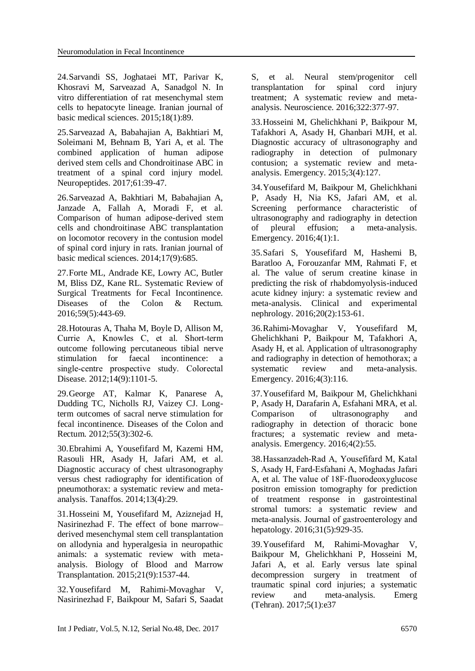24.Sarvandi SS, Joghataei MT, Parivar K, Khosravi M, Sarveazad A, Sanadgol N. In vitro differentiation of rat mesenchymal stem cells to hepatocyte lineage. Iranian journal of basic medical sciences. 2015;18(1):89.

25.Sarveazad A, Babahajian A, Bakhtiari M, Soleimani M, Behnam B, Yari A, et al. The combined application of human adipose derived stem cells and Chondroitinase ABC in treatment of a spinal cord injury model. Neuropeptides. 2017;61:39-47.

26.Sarveazad A, Bakhtiari M, Babahajian A, Janzade A, Fallah A, Moradi F, et al. Comparison of human adipose-derived stem cells and chondroitinase ABC transplantation on locomotor recovery in the contusion model of spinal cord injury in rats. Iranian journal of basic medical sciences. 2014;17(9):685.

27.Forte ML, Andrade KE, Lowry AC, Butler M, Bliss DZ, Kane RL. Systematic Review of Surgical Treatments for Fecal Incontinence. Diseases of the Colon & Rectum. 2016;59(5):443-69.

28.Hotouras A, Thaha M, Boyle D, Allison M, Currie A, Knowles C, et al. Short‐term outcome following percutaneous tibial nerve stimulation for faecal incontinence: a single‐centre prospective study. Colorectal Disease. 2012;14(9):1101-5.

29.George AT, Kalmar K, Panarese A, Dudding TC, Nicholls RJ, Vaizey CJ. Longterm outcomes of sacral nerve stimulation for fecal incontinence. Diseases of the Colon and Rectum. 2012;55(3):302-6.

30.Ebrahimi A, Yousefifard M, Kazemi HM, Rasouli HR, Asady H, Jafari AM, et al. Diagnostic accuracy of chest ultrasonography versus chest radiography for identification of pneumothorax: a systematic review and metaanalysis. Tanaffos. 2014;13(4):29.

31.Hosseini M, Yousefifard M, Aziznejad H, Nasirinezhad F. The effect of bone marrow– derived mesenchymal stem cell transplantation on allodynia and hyperalgesia in neuropathic animals: a systematic review with metaanalysis. Biology of Blood and Marrow Transplantation. 2015;21(9):1537-44.

32.Yousefifard M, Rahimi-Movaghar V, Nasirinezhad F, Baikpour M, Safari S, Saadat S, et al. Neural stem/progenitor cell transplantation for spinal cord injury treatment; A systematic review and metaanalysis. Neuroscience. 2016;322:377-97.

33.Hosseini M, Ghelichkhani P, Baikpour M, Tafakhori A, Asady H, Ghanbari MJH, et al. Diagnostic accuracy of ultrasonography and radiography in detection of pulmonary contusion; a systematic review and metaanalysis. Emergency. 2015;3(4):127.

34.Yousefifard M, Baikpour M, Ghelichkhani P, Asady H, Nia KS, Jafari AM, et al. Screening performance characteristic of ultrasonography and radiography in detection of pleural effusion; a meta-analysis. Emergency. 2016;4(1):1.

35.Safari S, Yousefifard M, Hashemi B, Baratloo A, Forouzanfar MM, Rahmati F, et al. The value of serum creatine kinase in predicting the risk of rhabdomyolysis-induced acute kidney injury: a systematic review and meta-analysis. Clinical and experimental nephrology. 2016;20(2):153-61.

36.Rahimi-Movaghar V, Yousefifard M, Ghelichkhani P, Baikpour M, Tafakhori A, Asady H, et al. Application of ultrasonography and radiography in detection of hemothorax; a systematic review and meta-analysis. Emergency. 2016;4(3):116.

37.Yousefifard M, Baikpour M, Ghelichkhani P, Asady H, Darafarin A, Esfahani MRA, et al. Comparison of ultrasonography and radiography in detection of thoracic bone fractures; a systematic review and metaanalysis. Emergency. 2016;4(2):55.

38.Hassanzadeh‐Rad A, Yousefifard M, Katal S, Asady H, Fard‐Esfahani A, Moghadas Jafari A, et al. The value of 18F‐fluorodeoxyglucose positron emission tomography for prediction of treatment response in gastrointestinal stromal tumors: a systematic review and meta‐analysis. Journal of gastroenterology and hepatology. 2016;31(5):929-35.

39.Yousefifard M, Rahimi-Movaghar V, Baikpour M, Ghelichkhani P, Hosseini M, Jafari A, et al. Early versus late spinal decompression surgery in treatment of traumatic spinal cord injuries; a systematic review and meta-analysis. [Emerg](https://www.ncbi.nlm.nih.gov/pubmed/28286844)  [\(Tehran\).](https://www.ncbi.nlm.nih.gov/pubmed/28286844) 2017;5(1):e37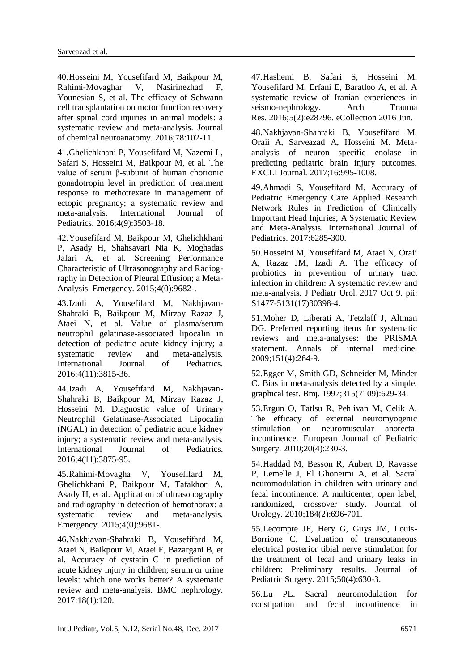40.Hosseini M, Yousefifard M, Baikpour M, Rahimi-Movaghar V, Nasirinezhad F, Younesian S, et al. The efficacy of Schwann cell transplantation on motor function recovery after spinal cord injuries in animal models: a systematic review and meta-analysis. Journal of chemical neuroanatomy. 2016;78:102-11.

41.Ghelichkhani P, Yousefifard M, Nazemi L, Safari S, Hosseini M, Baikpour M, et al. The value of serum β-subunit of human chorionic gonadotropin level in prediction of treatment response to methotrexate in management of ectopic pregnancy; a systematic review and meta-analysis. International Journal of Pediatrics. 2016;4(9):3503-18.

42.Yousefifard M, Baikpour M, Ghelichkhani P, Asady H, Shahsavari Nia K, Moghadas Jafari A, et al. Screening Performance Characteristic of Ultrasonography and Radiography in Detection of Pleural Effusion; a Meta-Analysis. Emergency. 2015;4(0):9682-.

43.Izadi A, Yousefifard M, Nakhjavan-Shahraki B, Baikpour M, Mirzay Razaz J, Ataei N, et al. Value of plasma/serum neutrophil gelatinase-associated lipocalin in detection of pediatric acute kidney injury; a systematic review and meta-analysis. International Journal of Pediatrics. 2016;4(11):3815-36.

44.Izadi A, Yousefifard M, Nakhjavan-Shahraki B, Baikpour M, Mirzay Razaz J, Hosseini M. Diagnostic value of Urinary Neutrophil Gelatinase-Associated Lipocalin (NGAL) in detection of pediatric acute kidney injury; a systematic review and meta-analysis. International Journal of Pediatrics. 2016;4(11):3875-95.

45.Rahimi-Movagha V, Yousefifard M, Ghelichkhani P, Baikpour M, Tafakhori A, Asady H, et al. Application of ultrasonography and radiography in detection of hemothorax: a systematic review and meta-analysis. Emergency. 2015;4(0):9681-.

46.Nakhjavan-Shahraki B, Yousefifard M, Ataei N, Baikpour M, Ataei F, Bazargani B, et al. Accuracy of cystatin C in prediction of acute kidney injury in children; serum or urine levels: which one works better? A systematic review and meta-analysis. BMC nephrology. 2017;18(1):120.

47.Hashemi B, Safari S, Hosseini M, Yousefifard M, Erfani E, Baratloo A, et al. A systematic review of Iranian experiences in seismo-nephrology. Arch Trauma [Res.](https://www.ncbi.nlm.nih.gov/pubmed/27703959) 2016;5(2):e28796. eCollection 2016 Jun.

48.Nakhjavan-Shahraki B, Yousefifard M, Oraii A, Sarveazad A, Hosseini M. Metaanalysis of neuron specific enolase in predicting pediatric brain injury outcomes. EXCLI Journal. 2017;16:995-1008.

49.Ahmadi S, Yousefifard M. Accuracy of Pediatric Emergency Care Applied Research Network Rules in Prediction of Clinically Important Head Injuries; A Systematic Review and Meta-Analysis. International Journal of Pediatrics. 2017:6285-300.

50.Hosseini M, Yousefifard M, Ataei N, Oraii A, Razaz JM, Izadi A. The efficacy of probiotics in prevention of urinary tract infection in children: A systematic review and meta-analysis. [J Pediatr Urol.](https://www.ncbi.nlm.nih.gov/pubmed/29102297) 2017 Oct 9. pii: S1477-5131(17)30398-4.

<span id="page-8-2"></span>51.Moher D, Liberati A, Tetzlaff J, Altman DG. Preferred reporting items for systematic reviews and meta-analyses: the PRISMA statement. Annals of internal medicine. 2009;151(4):264-9.

52.Egger M, Smith GD, Schneider M, Minder C. Bias in meta-analysis detected by a simple, graphical test. Bmj. 1997;315(7109):629-34.

<span id="page-8-3"></span>53.Ergun O, Tatlsu R, Pehlivan M, Celik A. The efficacy of external neuromyogenic stimulation on neuromuscular anorectal incontinence. European Journal of Pediatric Surgery. 2010;20(4):230-3.

54.Haddad M, Besson R, Aubert D, Ravasse P, Lemelle J, El Ghoneimi A, et al. Sacral neuromodulation in children with urinary and fecal incontinence: A multicenter, open label, randomized, crossover study. Journal of Urology. 2010;184(2):696-701.

<span id="page-8-1"></span>55.Lecompte JF, Hery G, Guys JM, Louis-Borrione C. Evaluation of transcutaneous electrical posterior tibial nerve stimulation for the treatment of fecal and urinary leaks in children: Preliminary results. Journal of Pediatric Surgery. 2015;50(4):630-3.

<span id="page-8-0"></span>56.Lu PL. Sacral neuromodulation for constipation and fecal incontinence in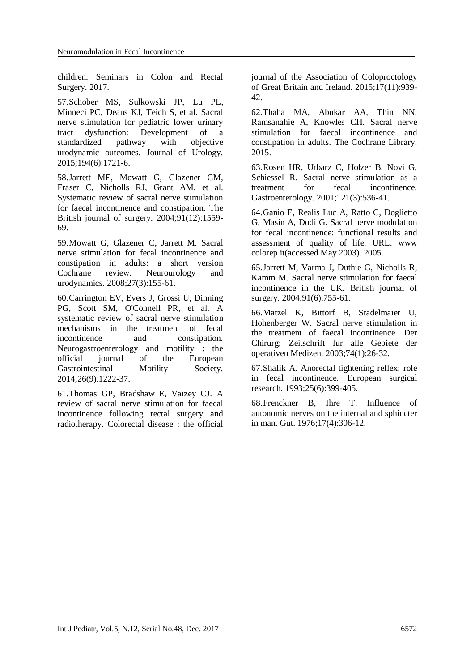<span id="page-9-9"></span>children. Seminars in Colon and Rectal Surgery. 2017.

<span id="page-9-0"></span>57.Schober MS, Sulkowski JP, Lu PL, Minneci PC, Deans KJ, Teich S, et al. Sacral nerve stimulation for pediatric lower urinary tract dysfunction: Development of a standardized pathway with objective urodynamic outcomes. Journal of Urology. 2015;194(6):1721-6.

<span id="page-9-1"></span>58.Jarrett ME, Mowatt G, Glazener CM, Fraser C, Nicholls RJ, Grant AM, et al. Systematic review of sacral nerve stimulation for faecal incontinence and constipation. The British journal of surgery. 2004;91(12):1559- 69.

<span id="page-9-2"></span>59.Mowatt G, Glazener C, Jarrett M. Sacral nerve stimulation for fecal incontinence and constipation in adults: a short version Cochrane review. Neurourology and urodynamics. 2008;27(3):155-61.

<span id="page-9-3"></span>60.Carrington EV, Evers J, Grossi U, Dinning PG, Scott SM, O'Connell PR, et al. A systematic review of sacral nerve stimulation mechanisms in the treatment of fecal incontinence and constipation. Neurogastroenterology and motility : the official journal of the European Gastrointestinal Motility Society. 2014;26(9):1222-37.

<span id="page-9-4"></span>61.Thomas GP, Bradshaw E, Vaizey CJ. A review of sacral nerve stimulation for faecal incontinence following rectal surgery and radiotherapy. Colorectal disease : the official journal of the Association of Coloproctology of Great Britain and Ireland. 2015;17(11):939- 42.

<span id="page-9-5"></span>62.Thaha MA, Abukar AA, Thin NN, Ramsanahie A, Knowles CH. Sacral nerve stimulation for faecal incontinence and constipation in adults. The Cochrane Library. 2015.

<span id="page-9-6"></span>63.Rosen HR, Urbarz C, Holzer B, Novi G, Schiessel R. Sacral nerve stimulation as a treatment for fecal incontinence. Gastroenterology. 2001;121(3):536-41.

64.Ganio E, Realis Luc A, Ratto C, Doglietto G, Masin A, Dodi G. Sacral nerve modulation for fecal incontinence: functional results and assessment of quality of life. URL: www colorep it(accessed May 2003). 2005.

65.Jarrett M, Varma J, Duthie G, Nicholls R, Kamm M. Sacral nerve stimulation for faecal incontinence in the UK. British journal of surgery. 2004;91(6):755-61.

66.Matzel K, Bittorf B, Stadelmaier U, Hohenberger W. Sacral nerve stimulation in the treatment of faecal incontinence. Der Chirurg; Zeitschrift fur alle Gebiete der operativen Medizen. 2003;74(1):26-32.

<span id="page-9-7"></span>67.Shafik A. Anorectal tightening reflex: role in fecal incontinence. European surgical research. 1993;25(6):399-405.

<span id="page-9-8"></span>68.Frenckner B, Ihre T. Influence of autonomic nerves on the internal and sphincter in man. Gut. 1976;17(4):306-12.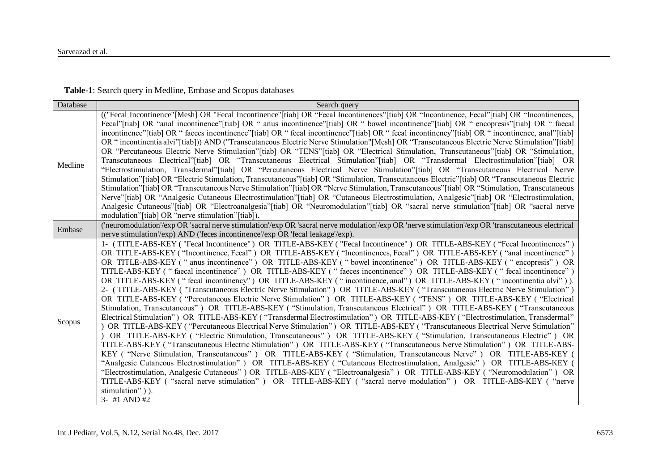| Database | Search query                                                                                                                                                                                                                                                                                                                                                                                                                                                                                                                                                                                                                                                                                                                                                                                                                                                                                                                                                                                                                                                                                                                                                                                                                                                                                                                                                                                                                                                                                                                                                                                                                                                                                                                                                                                                                                                                                                                                                                                                                                                                                           |
|----------|--------------------------------------------------------------------------------------------------------------------------------------------------------------------------------------------------------------------------------------------------------------------------------------------------------------------------------------------------------------------------------------------------------------------------------------------------------------------------------------------------------------------------------------------------------------------------------------------------------------------------------------------------------------------------------------------------------------------------------------------------------------------------------------------------------------------------------------------------------------------------------------------------------------------------------------------------------------------------------------------------------------------------------------------------------------------------------------------------------------------------------------------------------------------------------------------------------------------------------------------------------------------------------------------------------------------------------------------------------------------------------------------------------------------------------------------------------------------------------------------------------------------------------------------------------------------------------------------------------------------------------------------------------------------------------------------------------------------------------------------------------------------------------------------------------------------------------------------------------------------------------------------------------------------------------------------------------------------------------------------------------------------------------------------------------------------------------------------------------|
| Medline  | (("Fecal Incontinence"[Mesh] OR "Fecal Incontinence"[tiab] OR "Fecal Incontinences"[tiab] OR "Incontinence, Fecal"[tiab] OR "Incontinences,<br>Fecal"[tiab] OR "anal incontinence"[tiab] OR " anus incontinence"[tiab] OR " bowel incontinence"[tiab] OR " encopresis"[tiab] OR " faecal<br>incontinence"[tiab] OR " facces incontinence"[tiab] OR " fecal incontinence"[tiab] OR " fecal incontinency"[tiab] OR " incontinence, anal"[tiab]<br>OR "incontinentia alvi"[tiab]) AND ("Transcutaneous Electric Nerve Stimulation"[Mesh] OR "Transcutaneous Electric Nerve Stimulation"[tiab]<br>OR "Percutaneous Electric Nerve Stimulation"[tiab] OR "TENS"[tiab] OR "Electrical Stimulation, Transcutaneous"[tiab] OR "Stimulation,<br>Transcutaneous Electrical"[tiab] OR "Transcutaneous Electrical Stimulation"[tiab] OR "Transdermal Electrostimulation"[tiab] OR<br>"Electrostimulation, Transdermal"[tiab] OR "Percutaneous Electrical Nerve Stimulation"[tiab] OR "Transcutaneous Electrical Nerve<br>Stimulation"[tiab] OR "Electric Stimulation, Transcutaneous"[tiab] OR "Stimulation, Transcutaneous Electric"[tiab] OR "Transcutaneous Electric"<br>Stimulation"[tiab] OR "Transcutaneous Nerve Stimulation"[tiab] OR "Nerve Stimulation, Transcutaneous"[tiab] OR "Stimulation, Transcutaneous<br>Nerve"[tiab] OR "Analgesic Cutaneous Electrostimulation"[tiab] OR "Cutaneous Electrostimulation, Analgesic"[tiab] OR "Electrostimulation,<br>Analgesic Cutaneous"[tiab] OR "Electroanalgesia"[tiab] OR "Neuromodulation"[tiab] OR "sacral nerve stimulation"[tiab] OR "sacral nerve<br>modulation"[tiab] OR "nerve stimulation"[tiab]).                                                                                                                                                                                                                                                                                                                                                                                                                                                 |
| Embase   | ('neuromodulation'/exp OR 'sacral nerve stimulation'/exp OR 'sacral nerve modulation'/exp OR 'nerve stimulation'/exp OR 'transcutaneous electrical<br>nerve stimulation'/exp) AND ('feces incontinence'/exp OR 'fecal leakage'/exp).                                                                                                                                                                                                                                                                                                                                                                                                                                                                                                                                                                                                                                                                                                                                                                                                                                                                                                                                                                                                                                                                                                                                                                                                                                                                                                                                                                                                                                                                                                                                                                                                                                                                                                                                                                                                                                                                   |
| Scopus   | 1- (TITLE-ABS-KEY ("Fecal Incontinence") OR TITLE-ABS-KEY ("Fecal Incontinence") OR TITLE-ABS-KEY ("Fecal Incontinences")<br>OR TITLE-ABS-KEY ("Incontinence, Fecal") OR TITLE-ABS-KEY ("Incontinences, Fecal") OR TITLE-ABS-KEY ("anal incontinence")<br>OR TITLE-ABS-KEY ("anus incontinence") OR TITLE-ABS-KEY ("bowel incontinence") OR TITLE-ABS-KEY ("encopresis") OR<br>TITLE-ABS-KEY ("faecal incontinence") OR TITLE-ABS-KEY ("faeces incontinence") OR TITLE-ABS-KEY ("fecal incontinence")<br>OR TITLE-ABS-KEY ("fecal incontinency") OR TITLE-ABS-KEY ("incontinence, anal") OR TITLE-ABS-KEY ("incontinentia alvi")).<br>2- (TITLE-ABS-KEY ("Transcutaneous Electric Nerve Stimulation") OR TITLE-ABS-KEY ("Transcutaneous Electric Nerve Stimulation")<br>OR TITLE-ABS-KEY ("Percutaneous Electric Nerve Stimulation") OR TITLE-ABS-KEY ("TENS") OR TITLE-ABS-KEY ("Electrical<br>Stimulation, Transcutaneous") OR TITLE-ABS-KEY ("Stimulation, Transcutaneous Electrical") OR TITLE-ABS-KEY ("Transcutaneous<br>Electrical Stimulation") OR TITLE-ABS-KEY ("Transdermal Electrostimulation") OR TITLE-ABS-KEY ("Electrostimulation, Transdermal"<br>) OR TITLE-ABS-KEY ("Percutaneous Electrical Nerve Stimulation") OR TITLE-ABS-KEY ("Transcutaneous Electrical Nerve Stimulation"<br>) OR TITLE-ABS-KEY ("Electric Stimulation, Transcutaneous") OR TITLE-ABS-KEY ("Stimulation, Transcutaneous Electric") OR<br>TITLE-ABS-KEY ("Transcutaneous Electric Stimulation") OR TITLE-ABS-KEY ("Transcutaneous Nerve Stimulation") OR TITLE-ABS-<br>KEY ("Nerve Stimulation, Transcutaneous") OR TITLE-ABS-KEY ("Stimulation, Transcutaneous Nerve") OR TITLE-ABS-KEY (<br>"Analgesic Cutaneous Electrostimulation" ) OR TITLE-ABS-KEY ("Cutaneous Electrostimulation, Analgesic") OR TITLE-ABS-KEY (<br>"Electrostimulation, Analgesic Cutaneous") OR TITLE-ABS-KEY ("Electroanalgesia") OR TITLE-ABS-KEY ("Neuromodulation") OR<br>TITLE-ABS-KEY ("sacral nerve stimulation") OR TITLE-ABS-KEY ("sacral nerve modulation") OR TITLE-ABS-KEY ("nerve<br>stimulation")).<br>$3-$ #1 AND #2 |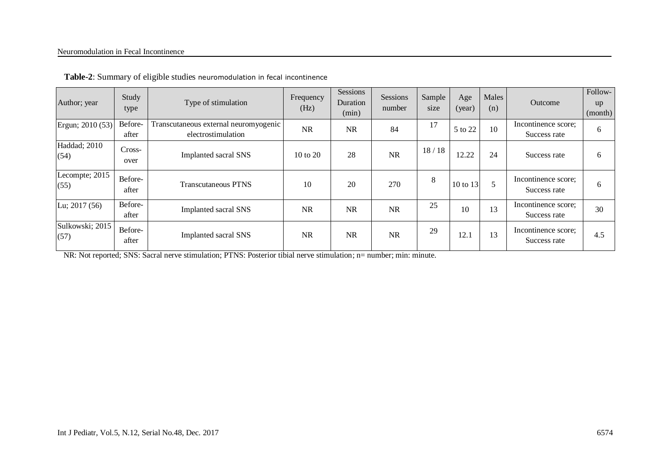#### Neuromodulation in Fecal Incontinence

| Author; year                 | Study<br>type    | Type of stimulation                                         | Frequency<br>(Hz) | Sessions<br>Duration<br>(min) | Sessions<br>number | Sample<br>size | Age<br>(year) | Males<br>(n) | Outcome                             | Follow-<br>up<br>(month) |
|------------------------------|------------------|-------------------------------------------------------------|-------------------|-------------------------------|--------------------|----------------|---------------|--------------|-------------------------------------|--------------------------|
| Ergun; 2010 (53)             | Before-<br>after | Transcutaneous external neuromyogenic<br>electrostimulation | <b>NR</b>         | <b>NR</b>                     | 84                 | 17             | 5 to 22       | 10           | Incontinence score;<br>Success rate | 6                        |
| <b>Haddad</b> ; 2010<br>(54) | Cross-<br>over   | <b>Implanted sacral SNS</b>                                 | 10 to 20          | 28                            | <b>NR</b>          | 18/18          | 12.22         | 24           | Success rate                        | 6                        |
| Lecompte; 2015<br>(55)       | Before-<br>after | <b>Transcutaneous PTNS</b>                                  | 10                | 20                            | 270                | $\,8\,$        | 10 to 13      | 5            | Incontinence score;<br>Success rate | 6                        |
| Lu; 2017 (56)                | Before-<br>after | <b>Implanted sacral SNS</b>                                 | <b>NR</b>         | <b>NR</b>                     | <b>NR</b>          | 25             | 10            | 13           | Incontinence score;<br>Success rate | 30                       |
| Sulkowski; 2015<br>(57)      | Before-<br>after | <b>Implanted sacral SNS</b>                                 | <b>NR</b>         | <b>NR</b>                     | <b>NR</b>          | 29             | 12.1          | 13           | Incontinence score;<br>Success rate | 4.5                      |

NR: Not reported; SNS: Sacral nerve stimulation; PTNS: Posterior tibial nerve stimulation; n= number; min: minute.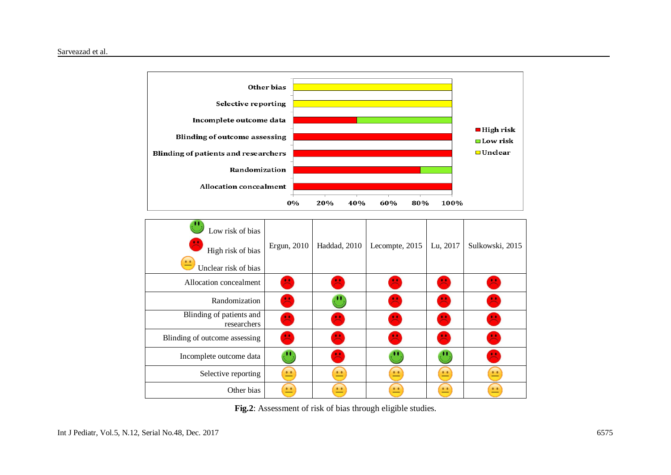

| Low risk of bias<br>High risk of bias<br>$\bullet$<br>Unclear risk of bias | Ergun, 2010  | Haddad, 2010 | Lecompte, 2015      | Lu, 2017  | Sulkowski, 2015 |
|----------------------------------------------------------------------------|--------------|--------------|---------------------|-----------|-----------------|
| Allocation concealment                                                     | 呉            | 呉            |                     |           | ×               |
| Randomization                                                              | $\mathbf{H}$ |              | 臭                   |           | 呉               |
| Blinding of patients and<br>researchers                                    | $\mathbf{Z}$ | <b>E</b>     | 旱                   | ए∙        | $\mathbf{H}$    |
| Blinding of outcome assessing                                              | 呉            |              |                     |           | 昌               |
| Incomplete outcome data                                                    |              |              |                     |           | 巴               |
| Selective reporting                                                        | 亗            | $\bullet$    | $\bullet$ $\bullet$ | $\bullet$ | • •             |
| Other bias                                                                 | 亗            | 亗            |                     |           | $\bullet$       |

**Fig.2**: Assessment of risk of bias through eligible studies.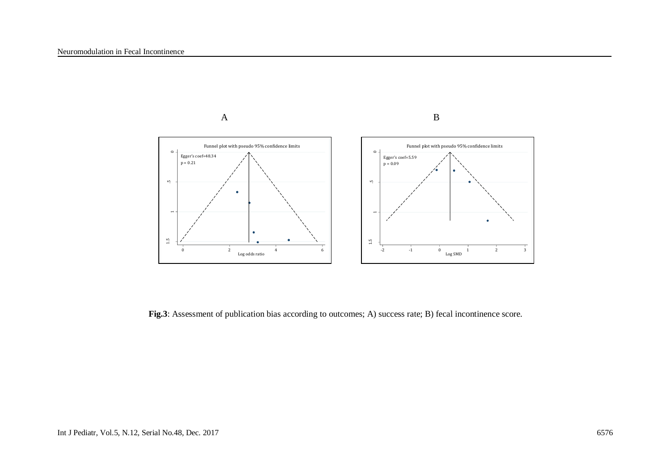

**Fig.3**: Assessment of publication bias according to outcomes; A) success rate; B) fecal incontinence score.